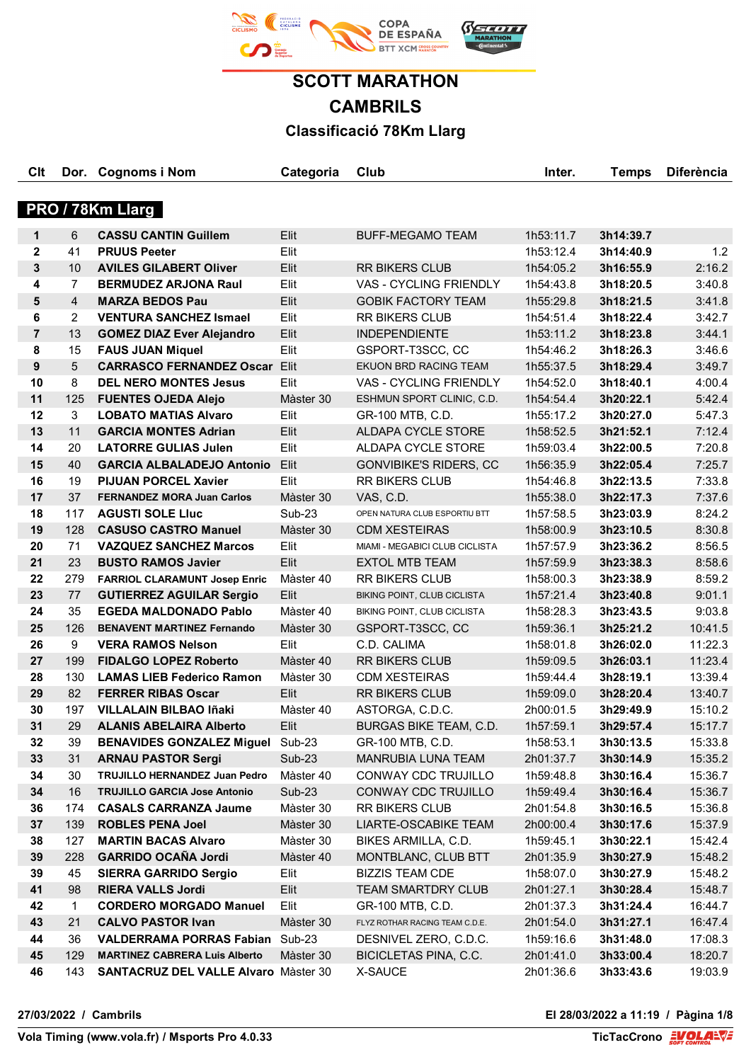

**Clt Dor. Cognoms i Nom Categoria Club Inter. Temps Diferència**

# **PRO / 78Km Llarg**

| 1              | 6              | <b>CASSU CANTIN Guillem</b>            | Elit      | <b>BUFF-MEGAMO TEAM</b>        | 1h53:11.7 | 3h14:39.7 |         |
|----------------|----------------|----------------------------------------|-----------|--------------------------------|-----------|-----------|---------|
| $\mathbf{2}$   | 41             | <b>PRUUS Peeter</b>                    | Elit      |                                | 1h53:12.4 | 3h14:40.9 | 1.2     |
| $\mathbf{3}$   | 10             | <b>AVILES GILABERT Oliver</b>          | Elit      | <b>RR BIKERS CLUB</b>          | 1h54:05.2 | 3h16:55.9 | 2:16.2  |
| 4              | 7              | <b>BERMUDEZ ARJONA Raul</b>            | Elit      | VAS - CYCLING FRIENDLY         | 1h54:43.8 | 3h18:20.5 | 3:40.8  |
| 5              | $\overline{4}$ | <b>MARZA BEDOS Pau</b>                 | Elit      | <b>GOBIK FACTORY TEAM</b>      | 1h55:29.8 | 3h18:21.5 | 3:41.8  |
| 6              | 2              | <b>VENTURA SANCHEZ Ismael</b>          | Elit      | <b>RR BIKERS CLUB</b>          | 1h54:51.4 | 3h18:22.4 | 3:42.7  |
| $\overline{7}$ | 13             | <b>GOMEZ DIAZ Ever Alejandro</b>       | Elit      | <b>INDEPENDIENTE</b>           | 1h53:11.2 | 3h18:23.8 | 3:44.1  |
| 8              | 15             | <b>FAUS JUAN Miquel</b>                | Elit      | GSPORT-T3SCC, CC               | 1h54:46.2 | 3h18:26.3 | 3:46.6  |
| 9              | 5              | <b>CARRASCO FERNANDEZ Oscar</b>        | Elit      | EKUON BRD RACING TEAM          | 1h55:37.5 | 3h18:29.4 | 3:49.7  |
| 10             | 8              | <b>DEL NERO MONTES Jesus</b>           | Elit      | VAS - CYCLING FRIENDLY         | 1h54:52.0 | 3h18:40.1 | 4:00.4  |
| 11             | 125            | <b>FUENTES OJEDA Alejo</b>             | Màster 30 | ESHMUN SPORT CLINIC, C.D.      | 1h54:54.4 | 3h20:22.1 | 5:42.4  |
| 12             | 3              | <b>LOBATO MATIAS Alvaro</b>            | Elit      | GR-100 MTB, C.D.               | 1h55:17.2 | 3h20:27.0 | 5:47.3  |
| 13             | 11             | <b>GARCIA MONTES Adrian</b>            | Elit      | ALDAPA CYCLE STORE             | 1h58:52.5 | 3h21:52.1 | 7:12.4  |
| 14             | 20             | <b>LATORRE GULIAS Julen</b>            | Elit      | ALDAPA CYCLE STORE             | 1h59:03.4 | 3h22:00.5 | 7:20.8  |
| 15             | 40             | <b>GARCIA ALBALADEJO Antonio</b>       | Elit      | <b>GONVIBIKE'S RIDERS, CC</b>  | 1h56:35.9 | 3h22:05.4 | 7:25.7  |
| 16             | 19             | <b>PIJUAN PORCEL Xavier</b>            | Elit      | <b>RR BIKERS CLUB</b>          | 1h54:46.8 | 3h22:13.5 | 7:33.8  |
| 17             | 37             | <b>FERNANDEZ MORA Juan Carlos</b>      | Màster 30 | VAS, C.D.                      | 1h55:38.0 | 3h22:17.3 | 7:37.6  |
| 18             | 117            | <b>AGUSTI SOLE LIUC</b>                | Sub-23    | OPEN NATURA CLUB ESPORTIU BTT  | 1h57:58.5 | 3h23:03.9 | 8:24.2  |
| 19             | 128            | <b>CASUSO CASTRO Manuel</b>            | Màster 30 | <b>CDM XESTEIRAS</b>           | 1h58:00.9 | 3h23:10.5 | 8:30.8  |
| 20             | 71             | <b>VAZQUEZ SANCHEZ Marcos</b>          | Elit      | MIAMI - MEGABICI CLUB CICLISTA | 1h57:57.9 | 3h23:36.2 | 8:56.5  |
| 21             | 23             | <b>BUSTO RAMOS Javier</b>              | Elit      | <b>EXTOL MTB TEAM</b>          | 1h57:59.9 | 3h23:38.3 | 8:58.6  |
| 22             | 279            | <b>FARRIOL CLARAMUNT Josep Enric</b>   | Màster 40 | <b>RR BIKERS CLUB</b>          | 1h58:00.3 | 3h23:38.9 | 8:59.2  |
| 23             | 77             | <b>GUTIERREZ AGUILAR Sergio</b>        | Elit      | BIKING POINT, CLUB CICLISTA    | 1h57:21.4 | 3h23:40.8 | 9:01.1  |
| 24             | 35             | <b>EGEDA MALDONADO Pablo</b>           | Màster 40 | BIKING POINT, CLUB CICLISTA    | 1h58:28.3 | 3h23:43.5 | 9:03.8  |
| 25             | 126            | <b>BENAVENT MARTINEZ Fernando</b>      | Màster 30 | GSPORT-T3SCC, CC               | 1h59:36.1 | 3h25:21.2 | 10:41.5 |
| 26             | 9              | <b>VERA RAMOS Nelson</b>               | Elit      | C.D. CALIMA                    | 1h58:01.8 | 3h26:02.0 | 11:22.3 |
| 27             | 199            | <b>FIDALGO LOPEZ Roberto</b>           | Màster 40 | <b>RR BIKERS CLUB</b>          | 1h59:09.5 | 3h26:03.1 | 11:23.4 |
| 28             | 130            | <b>LAMAS LIEB Federico Ramon</b>       | Màster 30 | <b>CDM XESTEIRAS</b>           | 1h59:44.4 | 3h28:19.1 | 13:39.4 |
| 29             | 82             | <b>FERRER RIBAS Oscar</b>              | Elit      | <b>RR BIKERS CLUB</b>          | 1h59:09.0 | 3h28:20.4 | 13:40.7 |
| 30             | 197            | <b>VILLALAIN BILBAO Iñaki</b>          | Màster 40 | ASTORGA, C.D.C.                | 2h00:01.5 | 3h29:49.9 | 15:10.2 |
| 31             | 29             | <b>ALANIS ABELAIRA Alberto</b>         | Elit      | BURGAS BIKE TEAM, C.D.         | 1h57:59.1 | 3h29:57.4 | 15:17.7 |
| 32             | 39             | <b>BENAVIDES GONZALEZ Miguel</b>       | Sub-23    | GR-100 MTB, C.D.               | 1h58:53.1 | 3h30:13.5 | 15:33.8 |
| 33             | 31             | <b>ARNAU PASTOR Sergi</b>              | $Sub-23$  | MANRUBIA LUNA TEAM             | 2h01:37.7 | 3h30:14.9 | 15:35.2 |
| 34             | 30             | TRUJILLO HERNANDEZ Juan Pedro          | Màster 40 | CONWAY CDC TRUJILLO            | 1h59:48.8 | 3h30:16.4 | 15:36.7 |
| 34             | 16             | <b>TRUJILLO GARCIA Jose Antonio</b>    | $Sub-23$  | CONWAY CDC TRUJILLO            | 1h59:49.4 | 3h30:16.4 | 15:36.7 |
| 36             | 174            | <b>CASALS CARRANZA Jaume</b>           | Màster 30 | RR BIKERS CLUB                 | 2h01:54.8 | 3h30:16.5 | 15:36.8 |
| 37             | 139            | <b>ROBLES PENA Joel</b>                | Màster 30 | LIARTE-OSCABIKE TEAM           | 2h00:00.4 | 3h30:17.6 | 15:37.9 |
| 38             | 127            | <b>MARTIN BACAS Alvaro</b>             | Màster 30 | BIKES ARMILLA, C.D.            | 1h59:45.1 | 3h30:22.1 | 15:42.4 |
| 39             | 228            | <b>GARRIDO OCAÑA Jordi</b>             | Màster 40 | MONTBLANC, CLUB BTT            | 2h01:35.9 | 3h30:27.9 | 15:48.2 |
| 39             | 45             | <b>SIERRA GARRIDO Sergio</b>           | Elit      | <b>BIZZIS TEAM CDE</b>         | 1h58:07.0 | 3h30:27.9 | 15:48.2 |
| 41             | 98             | <b>RIERA VALLS Jordi</b>               | Elit      | <b>TEAM SMARTDRY CLUB</b>      | 2h01:27.1 | 3h30:28.4 | 15:48.7 |
| 42             | 1              | <b>CORDERO MORGADO Manuel</b>          | Elit      | GR-100 MTB, C.D.               | 2h01:37.3 | 3h31:24.4 | 16:44.7 |
| 43             | 21             | <b>CALVO PASTOR Ivan</b>               | Màster 30 | FLYZ ROTHAR RACING TEAM C.D.E. | 2h01:54.0 | 3h31:27.1 | 16:47.4 |
| 44             | 36             | <b>VALDERRAMA PORRAS Fabian Sub-23</b> |           | DESNIVEL ZERO, C.D.C.          | 1h59:16.6 | 3h31:48.0 | 17:08.3 |
| 45             | 129            | <b>MARTINEZ CABRERA Luis Alberto</b>   | Màster 30 | BICICLETAS PINA, C.C.          | 2h01:41.0 | 3h33:00.4 | 18:20.7 |
| 46             | 143            | SANTACRUZ DEL VALLE Alvaro Màster 30   |           | X-SAUCE                        | 2h01:36.6 | 3h33:43.6 | 19:03.9 |

**27/03/2022 / Cambrils El 28/03/2022 a 11:19 / Pàgina 1/8**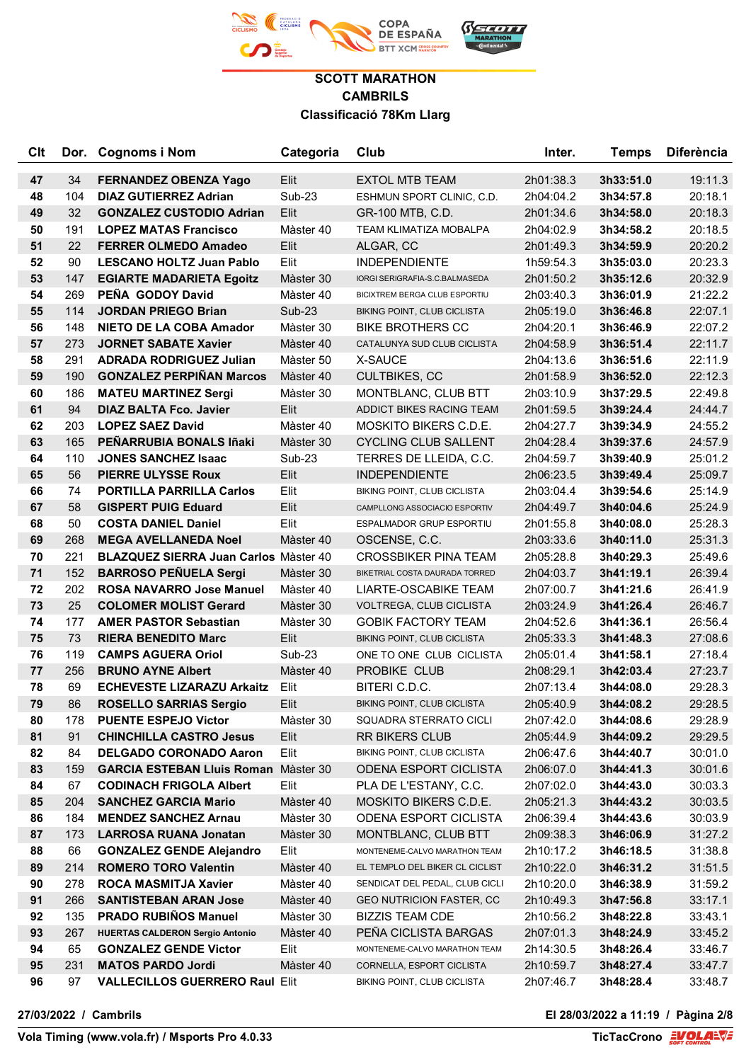

| <b>C<sub>It</sub></b> | Dor. | <b>Cognoms i Nom</b>                         | Categoria     | Club                            | Inter.    | Temps     | <b>Diferència</b> |
|-----------------------|------|----------------------------------------------|---------------|---------------------------------|-----------|-----------|-------------------|
| 47                    | 34   | <b>FERNANDEZ OBENZA Yago</b>                 | Elit          | <b>EXTOL MTB TEAM</b>           | 2h01:38.3 | 3h33:51.0 | 19:11.3           |
| 48                    | 104  | <b>DIAZ GUTIERREZ Adrian</b>                 | <b>Sub-23</b> | ESHMUN SPORT CLINIC, C.D.       | 2h04:04.2 | 3h34:57.8 | 20:18.1           |
| 49                    | 32   | <b>GONZALEZ CUSTODIO Adrian</b>              | Elit          | GR-100 MTB, C.D.                | 2h01:34.6 | 3h34:58.0 | 20:18.3           |
| 50                    | 191  | <b>LOPEZ MATAS Francisco</b>                 | Màster 40     | TEAM KLIMATIZA MOBALPA          | 2h04:02.9 | 3h34:58.2 | 20:18.5           |
| 51                    | 22   | <b>FERRER OLMEDO Amadeo</b>                  | Elit          | ALGAR, CC                       | 2h01:49.3 | 3h34:59.9 | 20:20.2           |
| 52                    | 90   | <b>LESCANO HOLTZ Juan Pablo</b>              | Elit          | <b>INDEPENDIENTE</b>            | 1h59:54.3 | 3h35:03.0 | 20:23.3           |
| 53                    | 147  | <b>EGIARTE MADARIETA Egoitz</b>              | Màster 30     | IORGI SERIGRAFIA-S.C.BALMASEDA  | 2h01:50.2 | 3h35:12.6 | 20:32.9           |
| 54                    | 269  | PEÑA GODOY David                             | Màster 40     | BICIXTREM BERGA CLUB ESPORTIU   | 2h03:40.3 | 3h36:01.9 | 21:22.2           |
| 55                    | 114  | <b>JORDAN PRIEGO Brian</b>                   | <b>Sub-23</b> | BIKING POINT, CLUB CICLISTA     | 2h05:19.0 | 3h36:46.8 | 22:07.1           |
| 56                    | 148  | <b>NIETO DE LA COBA Amador</b>               | Màster 30     | <b>BIKE BROTHERS CC</b>         | 2h04:20.1 | 3h36:46.9 | 22:07.2           |
| 57                    | 273  | <b>JORNET SABATE Xavier</b>                  | Màster 40     | CATALUNYA SUD CLUB CICLISTA     | 2h04:58.9 | 3h36:51.4 | 22:11.7           |
| 58                    | 291  | <b>ADRADA RODRIGUEZ Julian</b>               | Màster 50     | X-SAUCE                         | 2h04:13.6 | 3h36:51.6 | 22:11.9           |
| 59                    | 190  | <b>GONZALEZ PERPIÑAN Marcos</b>              | Màster 40     | <b>CULTBIKES, CC</b>            | 2h01:58.9 | 3h36:52.0 | 22:12.3           |
| 60                    | 186  | <b>MATEU MARTINEZ Sergi</b>                  | Màster 30     | MONTBLANC, CLUB BTT             | 2h03:10.9 | 3h37:29.5 | 22:49.8           |
| 61                    | 94   | <b>DIAZ BALTA Fco. Javier</b>                | Elit          | ADDICT BIKES RACING TEAM        | 2h01:59.5 | 3h39:24.4 | 24:44.7           |
| 62                    | 203  | <b>LOPEZ SAEZ David</b>                      | Màster 40     | MOSKITO BIKERS C.D.E.           | 2h04:27.7 | 3h39:34.9 | 24:55.2           |
| 63                    | 165  | PEÑARRUBIA BONALS Iñaki                      | Màster 30     | <b>CYCLING CLUB SALLENT</b>     | 2h04:28.4 | 3h39:37.6 | 24:57.9           |
| 64                    | 110  | <b>JONES SANCHEZ Isaac</b>                   | Sub-23        | TERRES DE LLEIDA, C.C.          | 2h04:59.7 | 3h39:40.9 | 25:01.2           |
| 65                    | 56   | <b>PIERRE ULYSSE Roux</b>                    | Elit          | <b>INDEPENDIENTE</b>            | 2h06:23.5 | 3h39:49.4 | 25:09.7           |
| 66                    | 74   | <b>PORTILLA PARRILLA Carlos</b>              | Elit          | BIKING POINT, CLUB CICLISTA     | 2h03:04.4 | 3h39:54.6 | 25:14.9           |
| 67                    | 58   | <b>GISPERT PUIG Eduard</b>                   | Elit          | CAMPLLONG ASSOCIACIO ESPORTIV   | 2h04:49.7 | 3h40:04.6 | 25:24.9           |
| 68                    | 50   | <b>COSTA DANIEL Daniel</b>                   | Elit          | ESPALMADOR GRUP ESPORTIU        | 2h01:55.8 | 3h40:08.0 | 25:28.3           |
| 69                    | 268  | <b>MEGA AVELLANEDA Noel</b>                  | Màster 40     | OSCENSE, C.C.                   | 2h03:33.6 | 3h40:11.0 | 25:31.3           |
| 70                    | 221  | <b>BLAZQUEZ SIERRA Juan Carlos Master 40</b> |               | <b>CROSSBIKER PINA TEAM</b>     | 2h05:28.8 | 3h40:29.3 | 25:49.6           |
| 71                    | 152  | <b>BARROSO PEÑUELA Sergi</b>                 | Màster 30     | BIKETRIAL COSTA DAURADA TORRED  | 2h04:03.7 | 3h41:19.1 | 26:39.4           |
| 72                    | 202  | <b>ROSA NAVARRO Jose Manuel</b>              | Màster 40     | LIARTE-OSCABIKE TEAM            | 2h07:00.7 | 3h41:21.6 | 26:41.9           |
| 73                    | 25   | <b>COLOMER MOLIST Gerard</b>                 | Màster 30     | VOLTREGA, CLUB CICLISTA         | 2h03:24.9 | 3h41:26.4 | 26:46.7           |
| 74                    | 177  | <b>AMER PASTOR Sebastian</b>                 | Màster 30     | <b>GOBIK FACTORY TEAM</b>       | 2h04:52.6 | 3h41:36.1 | 26:56.4           |
| 75                    | 73   | <b>RIERA BENEDITO Marc</b>                   | Elit          | BIKING POINT, CLUB CICLISTA     | 2h05:33.3 | 3h41:48.3 | 27:08.6           |
| 76                    | 119  | <b>CAMPS AGUERA Oriol</b>                    | <b>Sub-23</b> | ONE TO ONE CLUB CICLISTA        | 2h05:01.4 | 3h41:58.1 | 27:18.4           |
| 77                    | 256  | <b>BRUNO AYNE Albert</b>                     | Màster 40     | PROBIKE CLUB                    | 2h08:29.1 | 3h42:03.4 | 27:23.7           |
| 78                    | 69   | <b>ECHEVESTE LIZARAZU Arkaitz</b>            | Elit          | BITERI C.D.C.                   | 2h07:13.4 | 3h44:08.0 | 29:28.3           |
| 79                    | 86   | <b>ROSELLO SARRIAS Sergio</b>                | Elit          | BIKING POINT, CLUB CICLISTA     | 2h05:40.9 | 3h44:08.2 | 29:28.5           |
| 80                    | 178  | <b>PUENTE ESPEJO Victor</b>                  | Màster 30     | SQUADRA STERRATO CICLI          | 2h07:42.0 | 3h44:08.6 | 29:28.9           |
| 81                    | 91   | <b>CHINCHILLA CASTRO Jesus</b>               | Elit          | RR BIKERS CLUB                  | 2h05:44.9 | 3h44:09.2 | 29:29.5           |
| 82                    | 84   | <b>DELGADO CORONADO Aaron</b>                | Elit          | BIKING POINT, CLUB CICLISTA     | 2h06:47.6 | 3h44:40.7 | 30:01.0           |
| 83                    | 159  | <b>GARCIA ESTEBAN Lluis Roman Master 30</b>  |               | ODENA ESPORT CICLISTA           | 2h06:07.0 | 3h44:41.3 | 30:01.6           |
| 84                    | 67   | <b>CODINACH FRIGOLA Albert</b>               | Elit          | PLA DE L'ESTANY, C.C.           | 2h07:02.0 | 3h44:43.0 | 30:03.3           |
| 85                    | 204  | <b>SANCHEZ GARCIA Mario</b>                  | Màster 40     | MOSKITO BIKERS C.D.E.           | 2h05:21.3 | 3h44:43.2 | 30:03.5           |
| 86                    | 184  | <b>MENDEZ SANCHEZ Arnau</b>                  | Màster 30     | <b>ODENA ESPORT CICLISTA</b>    | 2h06:39.4 | 3h44:43.6 | 30:03.9           |
| 87                    | 173  | <b>LARROSA RUANA Jonatan</b>                 | Màster 30     | MONTBLANC, CLUB BTT             | 2h09:38.3 | 3h46:06.9 | 31:27.2           |
| 88                    | 66   | <b>GONZALEZ GENDE Alejandro</b>              | Elit          | MONTENEME-CALVO MARATHON TEAM   | 2h10:17.2 | 3h46:18.5 | 31:38.8           |
| 89                    | 214  | <b>ROMERO TORO Valentin</b>                  | Màster 40     | EL TEMPLO DEL BIKER CL CICLIST  | 2h10:22.0 | 3h46:31.2 | 31:51.5           |
| 90                    | 278  | <b>ROCA MASMITJA Xavier</b>                  | Màster 40     | SENDICAT DEL PEDAL, CLUB CICLI  | 2h10:20.0 | 3h46:38.9 | 31:59.2           |
| 91                    | 266  | <b>SANTISTEBAN ARAN Jose</b>                 | Màster 40     | <b>GEO NUTRICION FASTER, CC</b> | 2h10:49.3 | 3h47:56.8 | 33:17.1           |
| 92                    | 135  | <b>PRADO RUBIÑOS Manuel</b>                  | Màster 30     | <b>BIZZIS TEAM CDE</b>          | 2h10:56.2 | 3h48:22.8 | 33:43.1           |
| 93                    | 267  | <b>HUERTAS CALDERON Sergio Antonio</b>       | Màster 40     | PEÑA CICLISTA BARGAS            | 2h07:01.3 | 3h48:24.9 | 33:45.2           |
| 94                    | 65   | <b>GONZALEZ GENDE Victor</b>                 | Elit          | MONTENEME-CALVO MARATHON TEAM   | 2h14:30.5 | 3h48:26.4 | 33:46.7           |
| 95                    | 231  | <b>MATOS PARDO Jordi</b>                     | Màster 40     | CORNELLA, ESPORT CICLISTA       | 2h10:59.7 | 3h48:27.4 | 33:47.7           |
| 96                    | 97   | <b>VALLECILLOS GUERRERO Raul Elit</b>        |               | BIKING POINT, CLUB CICLISTA     | 2h07:46.7 | 3h48:28.4 | 33:48.7           |

**27/03/2022 / Cambrils El 28/03/2022 a 11:19 / Pàgina 2/8**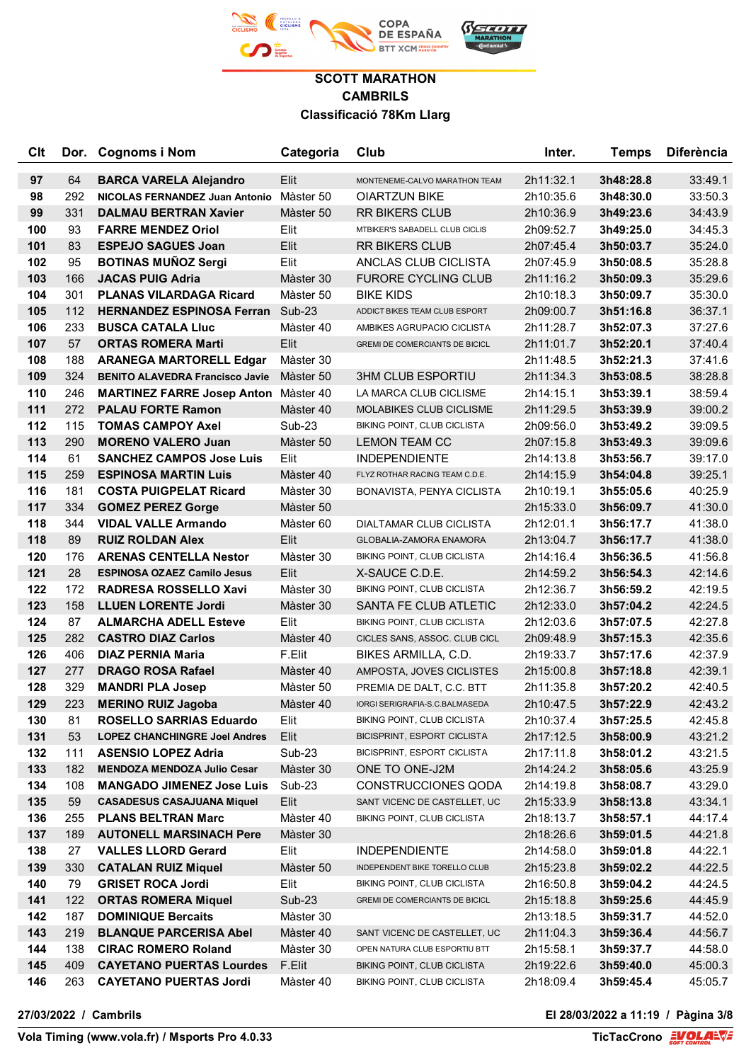

| <b>Clt</b> |     | Dor. Cognoms i Nom                          | Categoria     | Club                                  | Inter.    | <b>Temps</b> | <b>Diferència</b> |
|------------|-----|---------------------------------------------|---------------|---------------------------------------|-----------|--------------|-------------------|
| 97         | 64  | <b>BARCA VARELA Alejandro</b>               | Elit          | MONTENEME-CALVO MARATHON TEAM         | 2h11:32.1 | 3h48:28.8    | 33:49.1           |
| 98         | 292 | NICOLAS FERNANDEZ Juan Antonio              | Màster 50     | <b>OIARTZUN BIKE</b>                  | 2h10:35.6 | 3h48:30.0    | 33:50.3           |
| 99         | 331 | <b>DALMAU BERTRAN Xavier</b>                | Màster 50     | <b>RR BIKERS CLUB</b>                 | 2h10:36.9 | 3h49:23.6    | 34:43.9           |
| 100        | 93  | <b>FARRE MENDEZ Oriol</b>                   | Elit          | MTBIKER'S SABADELL CLUB CICLIS        | 2h09:52.7 | 3h49:25.0    | 34:45.3           |
| 101        | 83  | <b>ESPEJO SAGUES Joan</b>                   | Elit          | <b>RR BIKERS CLUB</b>                 | 2h07:45.4 | 3h50:03.7    | 35:24.0           |
| 102        | 95  | <b>BOTINAS MUÑOZ Sergi</b>                  | Elit          | ANCLAS CLUB CICLISTA                  | 2h07:45.9 | 3h50:08.5    | 35:28.8           |
| 103        | 166 | <b>JACAS PUIG Adria</b>                     | Màster 30     | <b>FURORE CYCLING CLUB</b>            | 2h11:16.2 | 3h50:09.3    | 35:29.6           |
| 104        | 301 | <b>PLANAS VILARDAGA Ricard</b>              | Màster 50     | <b>BIKE KIDS</b>                      | 2h10:18.3 | 3h50:09.7    | 35:30.0           |
| 105        | 112 | <b>HERNANDEZ ESPINOSA Ferran</b>            | Sub-23        | ADDICT BIKES TEAM CLUB ESPORT         | 2h09:00.7 | 3h51:16.8    | 36:37.1           |
| 106        | 233 | <b>BUSCA CATALA LIUC</b>                    | Màster 40     | AMBIKES AGRUPACIO CICLISTA            | 2h11:28.7 | 3h52:07.3    | 37:27.6           |
| 107        | 57  | <b>ORTAS ROMERA Marti</b>                   | Elit          | <b>GREMI DE COMERCIANTS DE BICICL</b> | 2h11:01.7 | 3h52:20.1    | 37:40.4           |
| 108        | 188 | <b>ARANEGA MARTORELL Edgar</b>              | Màster 30     |                                       | 2h11:48.5 | 3h52:21.3    | 37:41.6           |
| 109        | 324 | <b>BENITO ALAVEDRA Francisco Javie</b>      | Màster 50     | <b>3HM CLUB ESPORTIU</b>              | 2h11:34.3 | 3h53:08.5    | 38:28.8           |
| 110        | 246 | <b>MARTINEZ FARRE Josep Anton Master 40</b> |               | LA MARCA CLUB CICLISME                | 2h14:15.1 | 3h53:39.1    | 38:59.4           |
| 111        | 272 | <b>PALAU FORTE Ramon</b>                    | Màster 40     | <b>MOLABIKES CLUB CICLISME</b>        | 2h11:29.5 | 3h53:39.9    | 39:00.2           |
| 112        | 115 | <b>TOMAS CAMPOY Axel</b>                    | <b>Sub-23</b> | BIKING POINT, CLUB CICLISTA           | 2h09:56.0 | 3h53:49.2    | 39:09.5           |
| 113        | 290 | <b>MORENO VALERO Juan</b>                   | Màster 50     | <b>LEMON TEAM CC</b>                  | 2h07:15.8 | 3h53:49.3    | 39:09.6           |
| 114        | 61  | <b>SANCHEZ CAMPOS Jose Luis</b>             | Elit          | <b>INDEPENDIENTE</b>                  | 2h14:13.8 | 3h53:56.7    | 39:17.0           |
| 115        | 259 | <b>ESPINOSA MARTIN Luis</b>                 | Màster 40     | FLYZ ROTHAR RACING TEAM C.D.E.        | 2h14:15.9 | 3h54:04.8    | 39:25.1           |
| 116        | 181 | <b>COSTA PUIGPELAT Ricard</b>               | Màster 30     | BONAVISTA, PENYA CICLISTA             | 2h10:19.1 | 3h55:05.6    | 40:25.9           |
| 117        | 334 | <b>GOMEZ PEREZ Gorge</b>                    | Màster 50     |                                       | 2h15:33.0 | 3h56:09.7    | 41:30.0           |
| 118        | 344 | <b>VIDAL VALLE Armando</b>                  | Màster 60     | DIALTAMAR CLUB CICLISTA               | 2h12:01.1 | 3h56:17.7    | 41:38.0           |
| 118        | 89  | <b>RUIZ ROLDAN Alex</b>                     | Elit          | GLOBALIA-ZAMORA ENAMORA               | 2h13:04.7 | 3h56:17.7    | 41:38.0           |
| 120        | 176 | <b>ARENAS CENTELLA Nestor</b>               | Màster 30     | BIKING POINT, CLUB CICLISTA           | 2h14:16.4 | 3h56:36.5    | 41:56.8           |
| 121        | 28  | <b>ESPINOSA OZAEZ Camilo Jesus</b>          | Elit          | X-SAUCE C.D.E.                        | 2h14:59.2 | 3h56:54.3    | 42:14.6           |
| 122        | 172 | <b>RADRESA ROSSELLO Xavi</b>                | Màster 30     | BIKING POINT, CLUB CICLISTA           | 2h12:36.7 | 3h56:59.2    | 42:19.5           |
| 123        | 158 | <b>LLUEN LORENTE Jordi</b>                  | Màster 30     | SANTA FE CLUB ATLETIC                 | 2h12:33.0 | 3h57:04.2    | 42:24.5           |
| 124        | 87  | <b>ALMARCHA ADELL Esteve</b>                | Elit          | BIKING POINT, CLUB CICLISTA           | 2h12:03.6 | 3h57:07.5    | 42:27.8           |
| 125        | 282 | <b>CASTRO DIAZ Carlos</b>                   | Màster 40     | CICLES SANS, ASSOC. CLUB CICL         | 2h09:48.9 | 3h57:15.3    | 42:35.6           |
| 126        | 406 | <b>DIAZ PERNIA Maria</b>                    | F.Elit        | BIKES ARMILLA, C.D.                   | 2h19:33.7 | 3h57:17.6    | 42:37.9           |
| 127        | 277 | <b>DRAGO ROSA Rafael</b>                    | Màster 40     | AMPOSTA, JOVES CICLISTES              | 2h15:00.8 | 3h57:18.8    | 42:39.1           |
| 128        | 329 | <b>MANDRI PLA Josep</b>                     | Màster 50     | PREMIA DE DALT, C.C. BTT              | 2h11:35.8 | 3h57:20.2    | 42:40.5           |
| 129        | 223 | <b>MERINO RUIZ Jagoba</b>                   | Màster 40     | IORGI SERIGRAFIA-S.C.BALMASEDA        | 2h10:47.5 | 3h57:22.9    | 42:43.2           |
| 130        | 81  | <b>ROSELLO SARRIAS Eduardo</b>              | Elit          | BIKING POINT, CLUB CICLISTA           | 2h10:37.4 | 3h57:25.5    | 42:45.8           |
| 131        | 53  | <b>LOPEZ CHANCHINGRE Joel Andres</b>        | Elit          | BICISPRINT, ESPORT CICLISTA           | 2h17:12.5 | 3h58:00.9    | 43:21.2           |
| 132        | 111 | <b>ASENSIO LOPEZ Adria</b>                  | Sub-23        | BICISPRINT, ESPORT CICLISTA           | 2h17:11.8 | 3h58:01.2    | 43:21.5           |
| 133        | 182 | <b>MENDOZA MENDOZA Julio Cesar</b>          | Màster 30     | ONE TO ONE-J2M                        | 2h14:24.2 | 3h58:05.6    | 43:25.9           |
| 134        | 108 | <b>MANGADO JIMENEZ Jose Luis</b>            | Sub-23        | <b>CONSTRUCCIONES QODA</b>            | 2h14:19.8 | 3h58:08.7    | 43:29.0           |
| 135        | 59  | <b>CASADESUS CASAJUANA Miquel</b>           | Elit          | SANT VICENC DE CASTELLET, UC          | 2h15:33.9 | 3h58:13.8    | 43:34.1           |
| 136        | 255 | <b>PLANS BELTRAN Marc</b>                   | Màster 40     | BIKING POINT, CLUB CICLISTA           | 2h18:13.7 | 3h58:57.1    | 44:17.4           |
| 137        | 189 | <b>AUTONELL MARSINACH Pere</b>              | Màster 30     |                                       | 2h18:26.6 | 3h59:01.5    | 44:21.8           |
| 138        | 27  | <b>VALLES LLORD Gerard</b>                  | Elit          | <b>INDEPENDIENTE</b>                  | 2h14:58.0 | 3h59:01.8    | 44:22.1           |
| 139        | 330 | <b>CATALAN RUIZ Miquel</b>                  | Màster 50     | INDEPENDENT BIKE TORELLO CLUB         | 2h15:23.8 | 3h59:02.2    | 44:22.5           |
| 140        | 79  | <b>GRISET ROCA Jordi</b>                    | Elit          | BIKING POINT, CLUB CICLISTA           | 2h16:50.8 | 3h59:04.2    | 44:24.5           |
| 141        | 122 | <b>ORTAS ROMERA Miquel</b>                  | $Sub-23$      | GREMI DE COMERCIANTS DE BICICL        | 2h15:18.8 | 3h59:25.6    | 44:45.9           |
| 142        | 187 | <b>DOMINIQUE Bercaits</b>                   | Màster 30     |                                       | 2h13:18.5 | 3h59:31.7    | 44:52.0           |
| 143        | 219 | <b>BLANQUE PARCERISA Abel</b>               | Màster 40     | SANT VICENC DE CASTELLET, UC          | 2h11:04.3 | 3h59:36.4    | 44:56.7           |
| 144        | 138 | <b>CIRAC ROMERO Roland</b>                  | Màster 30     | OPEN NATURA CLUB ESPORTIU BTT         | 2h15:58.1 | 3h59:37.7    | 44:58.0           |
| 145        | 409 | <b>CAYETANO PUERTAS Lourdes</b>             | F.Elit        | BIKING POINT, CLUB CICLISTA           | 2h19:22.6 | 3h59:40.0    | 45:00.3           |
| 146        | 263 | <b>CAYETANO PUERTAS Jordi</b>               | Màster 40     | BIKING POINT, CLUB CICLISTA           | 2h18:09.4 | 3h59:45.4    | 45:05.7           |

**27/03/2022 / Cambrils El 28/03/2022 a 11:19 / Pàgina 3/8**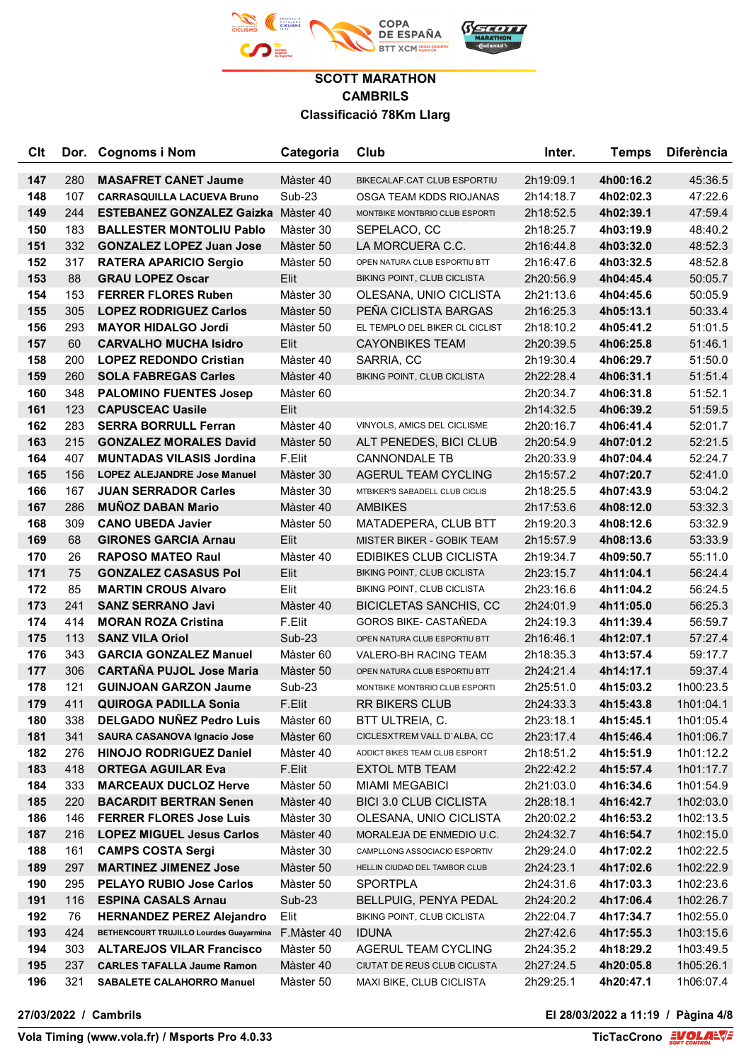

| <b>C<sub>It</sub></b> |     | Dor. Cognoms i Nom                         | Categoria     | Club                               | Inter.    | Temps     | <b>Diferència</b> |
|-----------------------|-----|--------------------------------------------|---------------|------------------------------------|-----------|-----------|-------------------|
| 147                   | 280 | <b>MASAFRET CANET Jaume</b>                | Màster 40     | BIKECALAF.CAT CLUB ESPORTIU        | 2h19:09.1 | 4h00:16.2 | 45:36.5           |
| 148                   | 107 | <b>CARRASQUILLA LACUEVA Bruno</b>          | Sub-23        | OSGA TEAM KDDS RIOJANAS            | 2h14:18.7 | 4h02:02.3 | 47:22.6           |
| 149                   | 244 | <b>ESTEBANEZ GONZALEZ Gaizka Màster 40</b> |               | MONTBIKE MONTBRIO CLUB ESPORTI     | 2h18:52.5 | 4h02:39.1 | 47:59.4           |
| 150                   | 183 | <b>BALLESTER MONTOLIU Pablo</b>            | Màster 30     | SEPELACO, CC                       | 2h18:25.7 | 4h03:19.9 | 48:40.2           |
| 151                   | 332 | <b>GONZALEZ LOPEZ Juan Jose</b>            | Màster 50     | LA MORCUERA C.C.                   | 2h16:44.8 | 4h03:32.0 | 48:52.3           |
| 152                   | 317 | <b>RATERA APARICIO Sergio</b>              | Màster 50     | OPEN NATURA CLUB ESPORTIU BTT      | 2h16:47.6 | 4h03:32.5 | 48:52.8           |
| 153                   | 88  | <b>GRAU LOPEZ Oscar</b>                    | Elit          | <b>BIKING POINT, CLUB CICLISTA</b> | 2h20:56.9 | 4h04:45.4 | 50:05.7           |
| 154                   | 153 | <b>FERRER FLORES Ruben</b>                 | Màster 30     | OLESANA, UNIO CICLISTA             | 2h21:13.6 | 4h04:45.6 | 50:05.9           |
| 155                   | 305 | <b>LOPEZ RODRIGUEZ Carlos</b>              | Màster 50     | PEÑA CICLISTA BARGAS               | 2h16:25.3 | 4h05:13.1 | 50:33.4           |
| 156                   | 293 | <b>MAYOR HIDALGO Jordi</b>                 | Màster 50     | EL TEMPLO DEL BIKER CL CICLIST     | 2h18:10.2 | 4h05:41.2 | 51:01.5           |
| 157                   | 60  | <b>CARVALHO MUCHA Isidro</b>               | Elit          | <b>CAYONBIKES TEAM</b>             | 2h20:39.5 | 4h06:25.8 | 51:46.1           |
| 158                   | 200 | <b>LOPEZ REDONDO Cristian</b>              | Màster 40     | SARRIA, CC                         | 2h19:30.4 | 4h06:29.7 | 51:50.0           |
| 159                   | 260 | <b>SOLA FABREGAS Carles</b>                | Màster 40     | BIKING POINT, CLUB CICLISTA        | 2h22:28.4 | 4h06:31.1 | 51:51.4           |
| 160                   | 348 | <b>PALOMINO FUENTES Josep</b>              | Màster 60     |                                    | 2h20:34.7 | 4h06:31.8 | 51:52.1           |
| 161                   | 123 | <b>CAPUSCEAC Uasile</b>                    | Elit          |                                    | 2h14:32.5 | 4h06:39.2 | 51:59.5           |
| 162                   | 283 | <b>SERRA BORRULL Ferran</b>                | Màster 40     | VINYOLS, AMICS DEL CICLISME        | 2h20:16.7 | 4h06:41.4 | 52:01.7           |
| 163                   | 215 | <b>GONZALEZ MORALES David</b>              | Màster 50     | ALT PENEDES, BICI CLUB             | 2h20:54.9 | 4h07:01.2 | 52:21.5           |
| 164                   | 407 | <b>MUNTADAS VILASIS Jordina</b>            | F.Elit        | <b>CANNONDALE TB</b>               | 2h20:33.9 | 4h07:04.4 | 52:24.7           |
| 165                   | 156 | <b>LOPEZ ALEJANDRE Jose Manuel</b>         | Màster 30     | AGERUL TEAM CYCLING                | 2h15:57.2 | 4h07:20.7 | 52:41.0           |
| 166                   | 167 | <b>JUAN SERRADOR Carles</b>                | Màster 30     | MTBIKER'S SABADELL CLUB CICLIS     | 2h18:25.5 | 4h07:43.9 | 53:04.2           |
| 167                   | 286 | <b>MUNOZ DABAN Mario</b>                   | Màster 40     | <b>AMBIKES</b>                     | 2h17:53.6 | 4h08:12.0 | 53:32.3           |
| 168                   | 309 | <b>CANO UBEDA Javier</b>                   | Màster 50     | MATADEPERA, CLUB BTT               | 2h19:20.3 | 4h08:12.6 | 53:32.9           |
| 169                   | 68  | <b>GIRONES GARCIA Arnau</b>                | Elit          | <b>MISTER BIKER - GOBIK TEAM</b>   | 2h15:57.9 | 4h08:13.6 | 53:33.9           |
| 170                   | 26  | <b>RAPOSO MATEO Raul</b>                   | Màster 40     | EDIBIKES CLUB CICLISTA             | 2h19:34.7 | 4h09:50.7 | 55:11.0           |
| 171                   | 75  | <b>GONZALEZ CASASUS Pol</b>                | Elit          | BIKING POINT, CLUB CICLISTA        | 2h23:15.7 | 4h11:04.1 | 56:24.4           |
| 172                   | 85  | <b>MARTIN CROUS Alvaro</b>                 | Elit          | BIKING POINT, CLUB CICLISTA        | 2h23:16.6 | 4h11:04.2 | 56:24.5           |
| 173                   | 241 | <b>SANZ SERRANO Javi</b>                   | Màster 40     | <b>BICICLETAS SANCHIS, CC</b>      | 2h24:01.9 | 4h11:05.0 | 56:25.3           |
| 174                   | 414 | <b>MORAN ROZA Cristina</b>                 | F.Elit        | GOROS BIKE- CASTAÑEDA              | 2h24:19.3 | 4h11:39.4 | 56:59.7           |
| 175                   | 113 | <b>SANZ VILA Oriol</b>                     | <b>Sub-23</b> | OPEN NATURA CLUB ESPORTIU BTT      | 2h16:46.1 | 4h12:07.1 | 57:27.4           |
| 176                   | 343 | <b>GARCIA GONZALEZ Manuel</b>              | Màster 60     | VALERO-BH RACING TEAM              | 2h18:35.3 | 4h13:57.4 | 59:17.7           |
| 177                   | 306 | <b>CARTAÑA PUJOL Jose Maria</b>            | Màster 50     | OPEN NATURA CLUB ESPORTIU BTT      | 2h24:21.4 | 4h14:17.1 | 59:37.4           |
| 178                   | 121 | <b>GUINJOAN GARZON Jaume</b>               | Sub-23        | MONTBIKE MONTBRIO CLUB ESPORTI     | 2h25:51.0 | 4h15:03.2 | 1h00:23.5         |
| 179                   | 411 | <b>QUIROGA PADILLA Sonia</b>               | F.Elit        | <b>RR BIKERS CLUB</b>              | 2h24:33.3 | 4h15:43.8 | 1h01:04.1         |
| 180                   | 338 | <b>DELGADO NUÑEZ Pedro Luis</b>            | Màster 60     | BTT ULTREIA, C.                    | 2h23:18.1 | 4h15:45.1 | 1h01:05.4         |
| 181                   | 341 | <b>SAURA CASANOVA Ignacio Jose</b>         | Màster 60     | CICLESXTREM VALL D'ALBA, CC        | 2h23:17.4 | 4h15:46.4 | 1h01:06.7         |
| 182                   | 276 | <b>HINOJO RODRIGUEZ Daniel</b>             | Màster 40     | ADDICT BIKES TEAM CLUB ESPORT      | 2h18:51.2 | 4h15:51.9 | 1h01:12.2         |
| 183                   | 418 | <b>ORTEGA AGUILAR Eva</b>                  | F.Elit        | <b>EXTOL MTB TEAM</b>              | 2h22:42.2 | 4h15:57.4 | 1h01:17.7         |
| 184                   | 333 | <b>MARCEAUX DUCLOZ Herve</b>               | Màster 50     | <b>MIAMI MEGABICI</b>              | 2h21:03.0 | 4h16:34.6 | 1h01:54.9         |
| 185                   | 220 | <b>BACARDIT BERTRAN Senen</b>              | Màster 40     | <b>BICI 3.0 CLUB CICLISTA</b>      | 2h28:18.1 | 4h16:42.7 | 1h02:03.0         |
| 186                   | 146 | <b>FERRER FLORES Jose Luis</b>             | Màster 30     | OLESANA, UNIO CICLISTA             | 2h20:02.2 | 4h16:53.2 | 1h02:13.5         |
| 187                   | 216 | <b>LOPEZ MIGUEL Jesus Carlos</b>           | Màster 40     | MORALEJA DE ENMEDIO U.C.           | 2h24:32.7 | 4h16:54.7 | 1h02:15.0         |
| 188                   | 161 | <b>CAMPS COSTA Sergi</b>                   | Màster 30     | CAMPLLONG ASSOCIACIO ESPORTIV      | 2h29:24.0 | 4h17:02.2 | 1h02:22.5         |
| 189                   | 297 | <b>MARTINEZ JIMENEZ Jose</b>               | Màster 50     | HELLIN CIUDAD DEL TAMBOR CLUB      | 2h24:23.1 | 4h17:02.6 | 1h02:22.9         |
| 190                   | 295 | <b>PELAYO RUBIO Jose Carlos</b>            | Màster 50     | <b>SPORTPLA</b>                    | 2h24:31.6 | 4h17:03.3 | 1h02:23.6         |
| 191                   | 116 | <b>ESPINA CASALS Arnau</b>                 | Sub-23        | <b>BELLPUIG, PENYA PEDAL</b>       | 2h24:20.2 | 4h17:06.4 | 1h02:26.7         |
| 192                   | 76  | <b>HERNANDEZ PEREZ Alejandro</b>           | Elit          | BIKING POINT, CLUB CICLISTA        | 2h22:04.7 | 4h17:34.7 | 1h02:55.0         |
| 193                   | 424 | BETHENCOURT TRUJILLO Lourdes Guayarmina    | F.Màster 40   | <b>IDUNA</b>                       | 2h27:42.6 | 4h17:55.3 | 1h03:15.6         |
| 194                   | 303 | <b>ALTAREJOS VILAR Francisco</b>           | Màster 50     | AGERUL TEAM CYCLING                | 2h24:35.2 | 4h18:29.2 | 1h03:49.5         |
| 195                   | 237 | <b>CARLES TAFALLA Jaume Ramon</b>          | Màster 40     | CIUTAT DE REUS CLUB CICLISTA       | 2h27:24.5 | 4h20:05.8 | 1h05:26.1         |
| 196                   | 321 | SABALETE CALAHORRO Manuel                  | Màster 50     | MAXI BIKE, CLUB CICLISTA           | 2h29:25.1 | 4h20:47.1 | 1h06:07.4         |

**27/03/2022 / Cambrils El 28/03/2022 a 11:19 / Pàgina 4/8**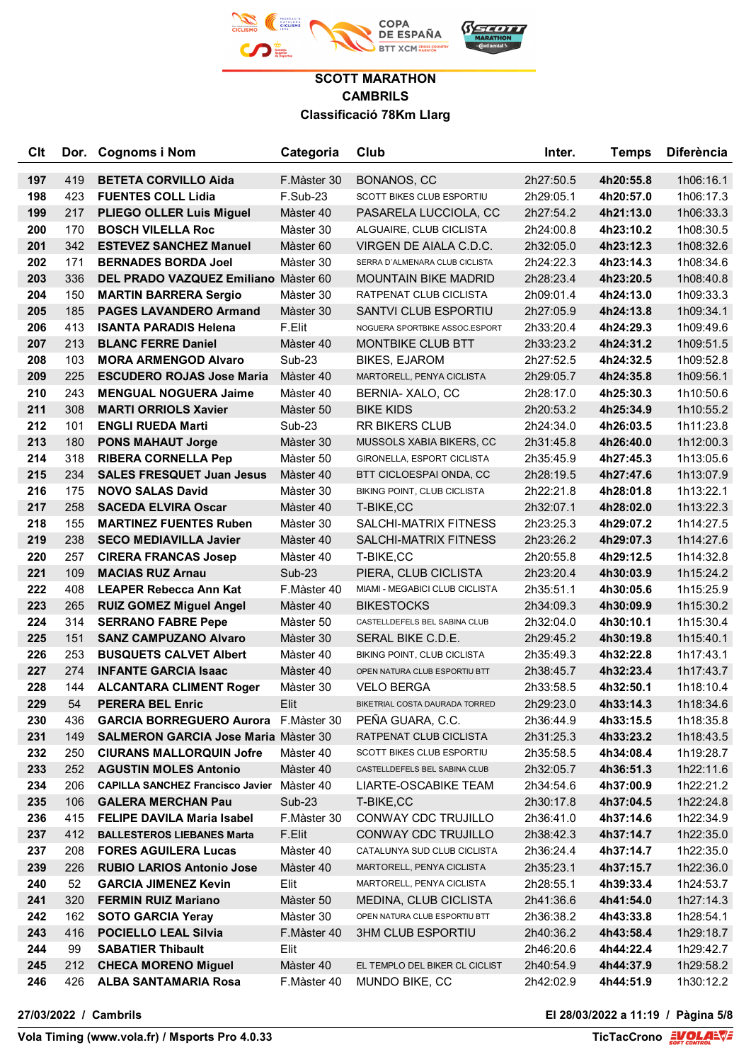

| <b>Clt</b> |           | Dor. Cognoms i Nom                                     | Categoria         | Club                           | Inter.                 | <b>Temps</b>           | <b>Diferència</b>      |
|------------|-----------|--------------------------------------------------------|-------------------|--------------------------------|------------------------|------------------------|------------------------|
| 197        | 419       | <b>BETETA CORVILLO Aida</b>                            | F.Màster 30       | BONANOS, CC                    | 2h27:50.5              | 4h20:55.8              | 1h06:16.1              |
| 198        | 423       | <b>FUENTES COLL Lidia</b>                              | $F.Sub-23$        | SCOTT BIKES CLUB ESPORTIU      | 2h29:05.1              | 4h20:57.0              | 1h06:17.3              |
| 199        | 217       | <b>PLIEGO OLLER Luis Miguel</b>                        | Màster 40         | PASARELA LUCCIOLA, CC          | 2h27:54.2              | 4h21:13.0              | 1h06:33.3              |
| 200        | 170       | <b>BOSCH VILELLA Roc</b>                               | Màster 30         | ALGUAIRE, CLUB CICLISTA        | 2h24:00.8              | 4h23:10.2              | 1h08:30.5              |
| 201        | 342       | <b>ESTEVEZ SANCHEZ Manuel</b>                          | Màster 60         | VIRGEN DE AIALA C.D.C.         | 2h32:05.0              | 4h23:12.3              | 1h08:32.6              |
| 202        | 171       | <b>BERNADES BORDA Joel</b>                             | Màster 30         | SERRA D'ALMENARA CLUB CICLISTA | 2h24:22.3              | 4h23:14.3              | 1h08:34.6              |
| 203        | 336       | DEL PRADO VAZQUEZ Emiliano Màster 60                   |                   | <b>MOUNTAIN BIKE MADRID</b>    | 2h28:23.4              | 4h23:20.5              | 1h08:40.8              |
| 204        | 150       | <b>MARTIN BARRERA Sergio</b>                           | Màster 30         | RATPENAT CLUB CICLISTA         | 2h09:01.4              | 4h24:13.0              | 1h09:33.3              |
| 205        | 185       | <b>PAGES LAVANDERO Armand</b>                          | Màster 30         | SANTVI CLUB ESPORTIU           | 2h27:05.9              | 4h24:13.8              | 1h09:34.1              |
| 206        | 413       | <b>ISANTA PARADIS Helena</b>                           | F.Elit            | NOGUERA SPORTBIKE ASSOC.ESPORT | 2h33:20.4              | 4h24:29.3              | 1h09:49.6              |
| 207        | 213       | <b>BLANC FERRE Daniel</b>                              | Màster 40         | MONTBIKE CLUB BTT              | 2h33:23.2              | 4h24:31.2              | 1h09:51.5              |
| 208        | 103       | <b>MORA ARMENGOD Alvaro</b>                            | Sub-23            | <b>BIKES, EJAROM</b>           | 2h27:52.5              | 4h24:32.5              | 1h09:52.8              |
| 209        | 225       | <b>ESCUDERO ROJAS Jose Maria</b>                       | Màster 40         | MARTORELL, PENYA CICLISTA      | 2h29:05.7              | 4h24:35.8              | 1h09:56.1              |
| 210        | 243       | <b>MENGUAL NOGUERA Jaime</b>                           | Màster 40         | BERNIA- XALO, CC               | 2h28:17.0              | 4h25:30.3              | 1h10:50.6              |
| 211        | 308       | <b>MARTI ORRIOLS Xavier</b>                            | Màster 50         | <b>BIKE KIDS</b>               | 2h20:53.2              | 4h25:34.9              | 1h10:55.2              |
| 212        | 101       | <b>ENGLI RUEDA Marti</b>                               | Sub-23            | <b>RR BIKERS CLUB</b>          | 2h24:34.0              | 4h26:03.5              | 1h11:23.8              |
| 213        | 180       | <b>PONS MAHAUT Jorge</b>                               | Màster 30         | MUSSOLS XABIA BIKERS, CC       | 2h31:45.8              | 4h26:40.0              | 1h12:00.3              |
| 214        | 318       | <b>RIBERA CORNELLA Pep</b>                             | Màster 50         | GIRONELLA, ESPORT CICLISTA     | 2h35:45.9              | 4h27:45.3              | 1h13:05.6              |
| 215        | 234       | <b>SALES FRESQUET Juan Jesus</b>                       | Màster 40         | BTT CICLOESPAI ONDA, CC        | 2h28:19.5              | 4h27:47.6              | 1h13:07.9              |
| 216        | 175       | <b>NOVO SALAS David</b>                                | Màster 30         | BIKING POINT, CLUB CICLISTA    | 2h22:21.8              | 4h28:01.8              | 1h13:22.1              |
| 217        | 258       | <b>SACEDA ELVIRA Oscar</b>                             | Màster 40         | T-BIKE,CC                      | 2h32:07.1              | 4h28:02.0              | 1h13:22.3              |
| 218        | 155       | <b>MARTINEZ FUENTES Ruben</b>                          | Màster 30         | SALCHI-MATRIX FITNESS          | 2h23:25.3              | 4h29:07.2              | 1h14:27.5              |
| 219        | 238       | <b>SECO MEDIAVILLA Javier</b>                          | Màster 40         | SALCHI-MATRIX FITNESS          | 2h23:26.2              | 4h29:07.3              | 1h14:27.6              |
| 220        | 257       | <b>CIRERA FRANCAS Josep</b>                            | Màster 40         | T-BIKE,CC                      | 2h20:55.8              | 4h29:12.5              | 1h14:32.8              |
| 221        | 109       | <b>MACIAS RUZ Arnau</b>                                | <b>Sub-23</b>     | PIERA, CLUB CICLISTA           | 2h23:20.4              | 4h30:03.9              | 1h15:24.2              |
| 222        | 408       | <b>LEAPER Rebecca Ann Kat</b>                          | F.Màster 40       | MIAMI - MEGABICI CLUB CICLISTA | 2h35:51.1              | 4h30:05.6              | 1h15:25.9              |
| 223        | 265       | <b>RUIZ GOMEZ Miguel Angel</b>                         | Màster 40         | <b>BIKESTOCKS</b>              | 2h34:09.3              | 4h30:09.9              | 1h15:30.2              |
| 224        | 314       | <b>SERRANO FABRE Pepe</b>                              | Màster 50         | CASTELLDEFELS BEL SABINA CLUB  | 2h32:04.0              | 4h30:10.1              | 1h15:30.4              |
| 225        | 151       | <b>SANZ CAMPUZANO Alvaro</b>                           | Màster 30         | SERAL BIKE C.D.E.              | 2h29:45.2              | 4h30:19.8              | 1h15:40.1              |
| 226        | 253       | <b>BUSQUETS CALVET Albert</b>                          | Màster 40         | BIKING POINT, CLUB CICLISTA    | 2h35:49.3              | 4h32:22.8              | 1h17:43.1              |
| 227        | 274       | <b>INFANTE GARCIA Isaac</b>                            | Màster 40         | OPEN NATURA CLUB ESPORTIU BTT  | 2h38:45.7              | 4h32:23.4              | 1h17:43.7              |
| 228        | 144       | <b>ALCANTARA CLIMENT Roger</b>                         | Màster 30         | <b>VELO BERGA</b>              | 2h33:58.5              | 4h32:50.1              | 1h18:10.4              |
| 229        | 54        | <b>PERERA BEL Enric</b>                                | Elit              | BIKETRIAL COSTA DAURADA TORRED | 2h29:23.0              | 4h33:14.3              | 1h18:34.6              |
| 230        | 436       | <b>GARCIA BORREGUERO Aurora</b> F.Màster 30            |                   | PEÑA GUARA, C.C.               | 2h36:44.9              | 4h33:15.5              | 1h18:35.8              |
| 231        | 149       | <b>SALMERON GARCIA Jose Maria Master 30</b>            |                   | RATPENAT CLUB CICLISTA         | 2h31:25.3              | 4h33:23.2              | 1h18:43.5              |
| 232        | 250       | <b>CIURANS MALLORQUIN Jofre</b>                        | Màster 40         | SCOTT BIKES CLUB ESPORTIU      | 2h35:58.5              | 4h34:08.4              | 1h19:28.7              |
| 233        | 252       | <b>AGUSTIN MOLES Antonio</b>                           | Màster 40         | CASTELLDEFELS BEL SABINA CLUB  | 2h32:05.7              | 4h36:51.3              | 1h22:11.6              |
| 234        | 206       | <b>CAPILLA SANCHEZ Francisco Javier Master 40</b>      |                   | LIARTE-OSCABIKE TEAM           | 2h34:54.6              | 4h37:00.9              | 1h22:21.2              |
| 235        | 106       | <b>GALERA MERCHAN Pau</b>                              | $Sub-23$          | T-BIKE,CC                      | 2h30:17.8              | 4h37:04.5              | 1h22:24.8              |
| 236        | 415       | <b>FELIPE DAVILA Maria Isabel</b>                      | F.Màster 30       | CONWAY CDC TRUJILLO            | 2h36:41.0              | 4h37:14.6              | 1h22:34.9              |
| 237        | 412       | <b>BALLESTEROS LIEBANES Marta</b>                      | F.Elit            | CONWAY CDC TRUJILLO            | 2h38:42.3              | 4h37:14.7              | 1h22:35.0              |
| 237        | 208       | <b>FORES AGUILERA Lucas</b>                            | Màster 40         | CATALUNYA SUD CLUB CICLISTA    | 2h36:24.4              | 4h37:14.7              | 1h22:35.0              |
| 239        | 226       | <b>RUBIO LARIOS Antonio Jose</b>                       | Màster 40         | MARTORELL, PENYA CICLISTA      | 2h35:23.1              | 4h37:15.7              | 1h22:36.0              |
| 240        | 52        | <b>GARCIA JIMENEZ Kevin</b>                            | Elit              | MARTORELL, PENYA CICLISTA      | 2h28:55.1              | 4h39:33.4              | 1h24:53.7              |
| 241        | 320       | <b>FERMIN RUIZ Mariano</b>                             | Màster 50         | MEDINA, CLUB CICLISTA          | 2h41:36.6              | 4h41:54.0              | 1h27:14.3              |
| 242        | 162       | <b>SOTO GARCIA Yeray</b>                               | Màster 30         | OPEN NATURA CLUB ESPORTIU BTT  | 2h36:38.2              | 4h43:33.8              | 1h28:54.1              |
| 243        | 416<br>99 | <b>POCIELLO LEAL Silvia</b>                            | F.Màster 40       | <b>3HM CLUB ESPORTIU</b>       | 2h40:36.2              | 4h43:58.4              | 1h29:18.7              |
| 244<br>245 | 212       | <b>SABATIER Thibault</b><br><b>CHECA MORENO Miguel</b> | Elit<br>Màster 40 | EL TEMPLO DEL BIKER CL CICLIST | 2h46:20.6<br>2h40:54.9 | 4h44:22.4<br>4h44:37.9 | 1h29:42.7<br>1h29:58.2 |
| 246        | 426       | <b>ALBA SANTAMARIA Rosa</b>                            | F.Màster 40       | MUNDO BIKE, CC                 | 2h42:02.9              | 4h44:51.9              | 1h30:12.2              |
|            |           |                                                        |                   |                                |                        |                        |                        |

**27/03/2022 / Cambrils El 28/03/2022 a 11:19 / Pàgina 5/8**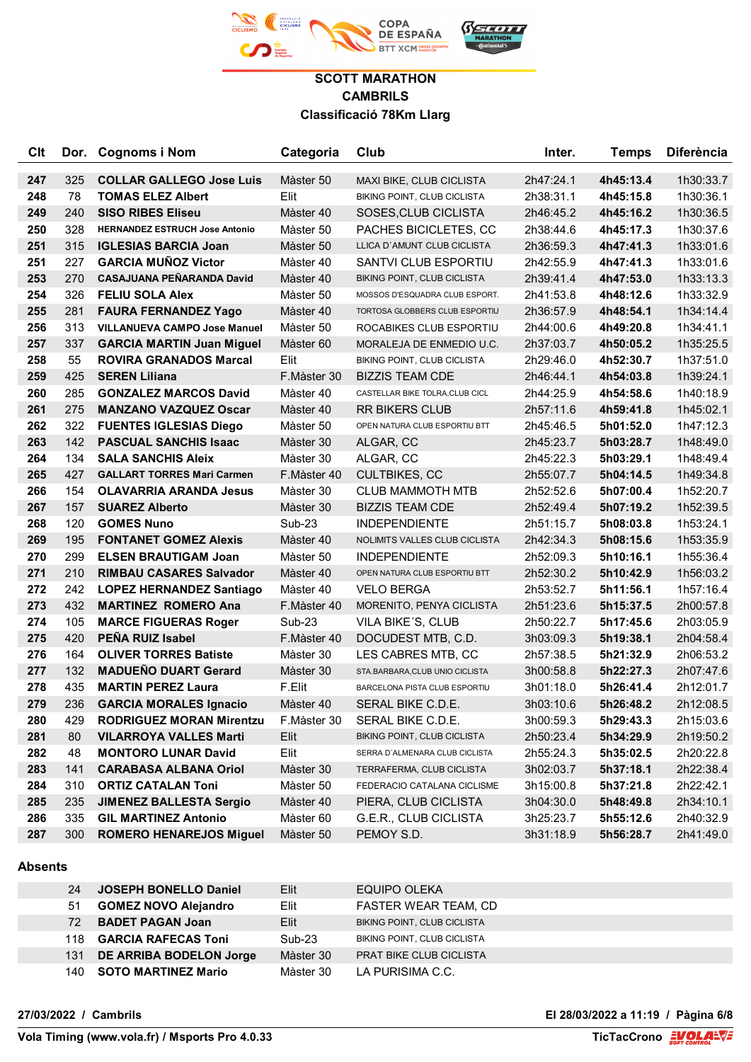

| Clt |     | Dor. Cognoms i Nom                    | Categoria   | Club                            | Inter.    | <b>Temps</b> | <b>Diferència</b> |
|-----|-----|---------------------------------------|-------------|---------------------------------|-----------|--------------|-------------------|
| 247 | 325 | <b>COLLAR GALLEGO Jose Luis</b>       | Màster 50   | MAXI BIKE, CLUB CICLISTA        | 2h47:24.1 | 4h45:13.4    | 1h30:33.7         |
| 248 | 78  | <b>TOMAS ELEZ Albert</b>              | Elit        | BIKING POINT, CLUB CICLISTA     | 2h38:31.1 | 4h45:15.8    | 1h30:36.1         |
| 249 | 240 | <b>SISO RIBES Eliseu</b>              | Màster 40   | SOSES, CLUB CICLISTA            | 2h46:45.2 | 4h45:16.2    | 1h30:36.5         |
| 250 | 328 | <b>HERNANDEZ ESTRUCH Jose Antonio</b> | Màster 50   | PACHES BICICLETES, CC           | 2h38:44.6 | 4h45:17.3    | 1h30:37.6         |
| 251 | 315 | <b>IGLESIAS BARCIA Joan</b>           | Màster 50   | LLICA D'AMUNT CLUB CICLISTA     | 2h36:59.3 | 4h47:41.3    | 1h33:01.6         |
| 251 | 227 | <b>GARCIA MUÑOZ Victor</b>            | Màster 40   | SANTVI CLUB ESPORTIU            | 2h42:55.9 | 4h47:41.3    | 1h33:01.6         |
| 253 | 270 | CASAJUANA PEÑARANDA David             | Màster 40   | BIKING POINT, CLUB CICLISTA     | 2h39:41.4 | 4h47:53.0    | 1h33:13.3         |
| 254 | 326 | <b>FELIU SOLA Alex</b>                | Màster 50   | MOSSOS D'ESQUADRA CLUB ESPORT.  | 2h41:53.8 | 4h48:12.6    | 1h33:32.9         |
| 255 | 281 | <b>FAURA FERNANDEZ Yago</b>           | Màster 40   | TORTOSA GLOBBERS CLUB ESPORTIU  | 2h36:57.9 | 4h48:54.1    | 1h34:14.4         |
| 256 | 313 | <b>VILLANUEVA CAMPO Jose Manuel</b>   | Màster 50   | ROCABIKES CLUB ESPORTIU         | 2h44:00.6 | 4h49:20.8    | 1h34:41.1         |
| 257 | 337 | <b>GARCIA MARTIN Juan Miguel</b>      | Màster 60   | MORALEJA DE ENMEDIO U.C.        | 2h37:03.7 | 4h50:05.2    | 1h35:25.5         |
| 258 | 55  | <b>ROVIRA GRANADOS Marcal</b>         | Elit        | BIKING POINT, CLUB CICLISTA     | 2h29:46.0 | 4h52:30.7    | 1h37:51.0         |
| 259 | 425 | <b>SEREN Liliana</b>                  | F.Màster 30 | <b>BIZZIS TEAM CDE</b>          | 2h46:44.1 | 4h54:03.8    | 1h39:24.1         |
| 260 | 285 | <b>GONZALEZ MARCOS David</b>          | Màster 40   | CASTELLAR BIKE TOLRA, CLUB CICL | 2h44:25.9 | 4h54:58.6    | 1h40:18.9         |
| 261 | 275 | <b>MANZANO VAZQUEZ Oscar</b>          | Màster 40   | <b>RR BIKERS CLUB</b>           | 2h57:11.6 | 4h59:41.8    | 1h45:02.1         |
| 262 | 322 | <b>FUENTES IGLESIAS Diego</b>         | Màster 50   | OPEN NATURA CLUB ESPORTIU BTT   | 2h45:46.5 | 5h01:52.0    | 1h47:12.3         |
| 263 | 142 | <b>PASCUAL SANCHIS Isaac</b>          | Màster 30   | ALGAR, CC                       | 2h45:23.7 | 5h03:28.7    | 1h48:49.0         |
| 264 | 134 | <b>SALA SANCHIS Aleix</b>             | Màster 30   | ALGAR, CC                       | 2h45:22.3 | 5h03:29.1    | 1h48:49.4         |
| 265 | 427 | <b>GALLART TORRES Mari Carmen</b>     | F.Màster 40 | <b>CULTBIKES, CC</b>            | 2h55:07.7 | 5h04:14.5    | 1h49:34.8         |
| 266 | 154 | <b>OLAVARRIA ARANDA Jesus</b>         | Màster 30   | <b>CLUB MAMMOTH MTB</b>         | 2h52:52.6 | 5h07:00.4    | 1h52:20.7         |
| 267 | 157 | <b>SUAREZ Alberto</b>                 | Màster 30   | <b>BIZZIS TEAM CDE</b>          | 2h52:49.4 | 5h07:19.2    | 1h52:39.5         |
| 268 | 120 | <b>GOMES Nuno</b>                     | Sub-23      | <b>INDEPENDIENTE</b>            | 2h51:15.7 | 5h08:03.8    | 1h53:24.1         |
| 269 | 195 | <b>FONTANET GOMEZ Alexis</b>          | Màster 40   | NOLIMITS VALLES CLUB CICLISTA   | 2h42:34.3 | 5h08:15.6    | 1h53:35.9         |
| 270 | 299 | <b>ELSEN BRAUTIGAM Joan</b>           | Màster 50   | <b>INDEPENDIENTE</b>            | 2h52:09.3 | 5h10:16.1    | 1h55:36.4         |
| 271 | 210 | <b>RIMBAU CASARES Salvador</b>        | Màster 40   | OPEN NATURA CLUB ESPORTIU BTT   | 2h52:30.2 | 5h10:42.9    | 1h56:03.2         |
| 272 | 242 | <b>LOPEZ HERNANDEZ Santiago</b>       | Màster 40   | <b>VELO BERGA</b>               | 2h53:52.7 | 5h11:56.1    | 1h57:16.4         |
| 273 | 432 | <b>MARTINEZ ROMERO Ana</b>            | F.Màster 40 | MORENITO, PENYA CICLISTA        | 2h51:23.6 | 5h15:37.5    | 2h00:57.8         |
| 274 | 105 | <b>MARCE FIGUERAS Roger</b>           | Sub-23      | VILA BIKE'S, CLUB               | 2h50:22.7 | 5h17:45.6    | 2h03:05.9         |
| 275 | 420 | PEÑA RUIZ Isabel                      | F.Màster 40 | DOCUDEST MTB, C.D.              | 3h03:09.3 | 5h19:38.1    | 2h04:58.4         |
| 276 | 164 | <b>OLIVER TORRES Batiste</b>          | Màster 30   | LES CABRES MTB, CC              | 2h57:38.5 | 5h21:32.9    | 2h06:53.2         |
| 277 | 132 | <b>MADUEÑO DUART Gerard</b>           | Màster 30   | STA.BARBARA, CLUB UNIO CICLISTA | 3h00:58.8 | 5h22:27.3    | 2h07:47.6         |
| 278 | 435 | <b>MARTIN PEREZ Laura</b>             | F.Elit      | BARCELONA PISTA CLUB ESPORTIU   | 3h01:18.0 | 5h26:41.4    | 2h12:01.7         |
| 279 | 236 | <b>GARCIA MORALES Ignacio</b>         | Màster 40   | SERAL BIKE C.D.E.               | 3h03:10.6 | 5h26:48.2    | 2h12:08.5         |
| 280 | 429 | <b>RODRIGUEZ MORAN Mirentzu</b>       | F.Màster 30 | SERAL BIKE C.D.E.               | 3h00:59.3 | 5h29:43.3    | 2h15:03.6         |
| 281 | 80  | <b>VILARROYA VALLES Marti</b>         | Elit        | BIKING POINT, CLUB CICLISTA     | 2h50:23.4 | 5h34:29.9    | 2h19:50.2         |
| 282 | 48  | <b>MONTORO LUNAR David</b>            | Elit        | SERRA D'ALMENARA CLUB CICLISTA  | 2h55:24.3 | 5h35:02.5    | 2h20:22.8         |
| 283 | 141 | <b>CARABASA ALBANA Oriol</b>          | Màster 30   | TERRAFERMA, CLUB CICLISTA       | 3h02:03.7 | 5h37:18.1    | 2h22:38.4         |
| 284 | 310 | <b>ORTIZ CATALAN Toni</b>             | Màster 50   | FEDERACIO CATALANA CICLISME     | 3h15:00.8 | 5h37:21.8    | 2h22:42.1         |
| 285 | 235 | <b>JIMENEZ BALLESTA Sergio</b>        | Màster 40   | PIERA, CLUB CICLISTA            | 3h04:30.0 | 5h48:49.8    | 2h34:10.1         |
| 286 | 335 | <b>GIL MARTINEZ Antonio</b>           | Màster 60   | G.E.R., CLUB CICLISTA           | 3h25:23.7 | 5h55:12.6    | 2h40:32.9         |
| 287 | 300 | <b>ROMERO HENAREJOS Miguel</b>        | Màster 50   | PEMOY S.D.                      | 3h31:18.9 | 5h56:28.7    | 2h41:49.0         |

#### **Absents**

|     | 24 JOSEPH BONELLO Daniel    | Elit.     | EQUIPO OLEKA                   |
|-----|-----------------------------|-----------|--------------------------------|
| 51  | <b>GOMEZ NOVO Alejandro</b> | Elit      | FASTER WEAR TEAM, CD           |
| 72  | <b>BADET PAGAN Joan</b>     | Elit      | BIKING POINT, CLUB CICLISTA    |
| 118 | <b>GARCIA RAFECAS Toni</b>  | $Sub-23$  | BIKING POINT, CLUB CICLISTA    |
|     | 131 DE ARRIBA BODELON Jorge | Màster 30 | <b>PRAT BIKE CLUB CICLISTA</b> |
|     | 140 SOTO MARTINEZ Mario     | Màster 30 | LA PURISIMA C.C.               |

**27/03/2022 / Cambrils El 28/03/2022 a 11:19 / Pàgina 6/8**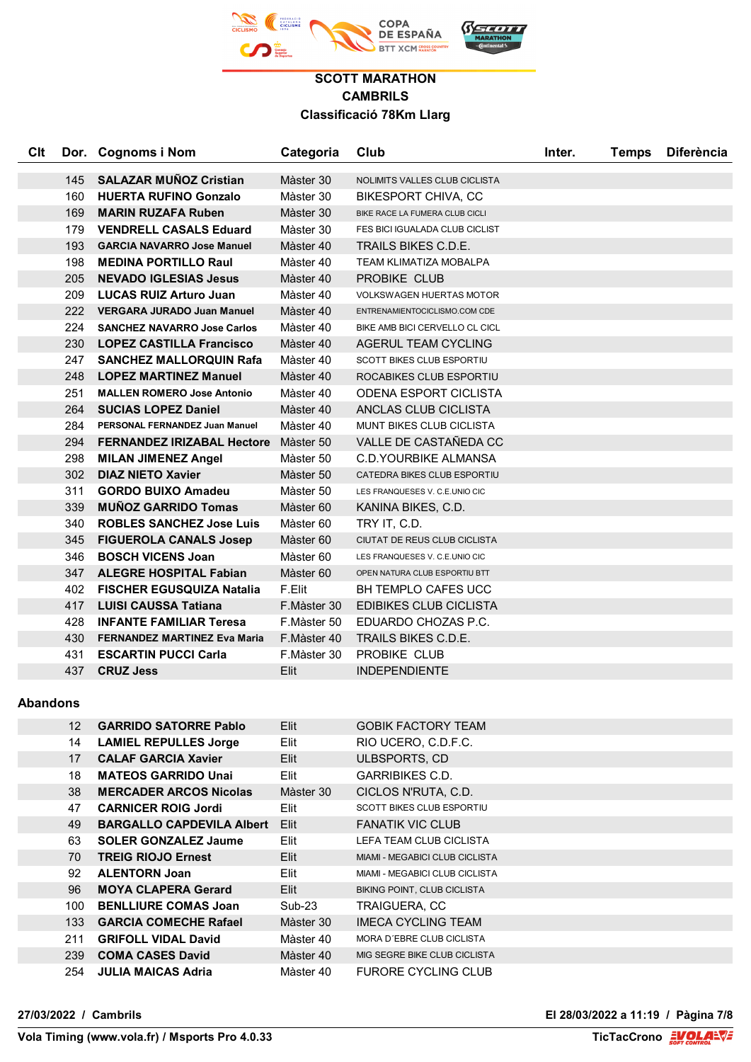

| <b>Clt</b>      |                 | Dor. Cognoms i Nom                  | Categoria     | Club                            | Inter. | <b>Temps</b> | <b>Diferència</b> |
|-----------------|-----------------|-------------------------------------|---------------|---------------------------------|--------|--------------|-------------------|
|                 | 145             | <b>SALAZAR MUÑOZ Cristian</b>       | Màster 30     | NOLIMITS VALLES CLUB CICLISTA   |        |              |                   |
|                 | 160             | <b>HUERTA RUFINO Gonzalo</b>        | Màster 30     | BIKESPORT CHIVA, CC             |        |              |                   |
|                 | 169             | <b>MARIN RUZAFA Ruben</b>           | Màster 30     | BIKE RACE LA FUMERA CLUB CICLI  |        |              |                   |
|                 | 179             | <b>VENDRELL CASALS Eduard</b>       | Màster 30     | FES BICI IGUALADA CLUB CICLIST  |        |              |                   |
|                 | 193             | <b>GARCIA NAVARRO Jose Manuel</b>   | Màster 40     | TRAILS BIKES C.D.E.             |        |              |                   |
|                 | 198             | <b>MEDINA PORTILLO Raul</b>         | Màster 40     | TEAM KLIMATIZA MOBALPA          |        |              |                   |
|                 | 205             | <b>NEVADO IGLESIAS Jesus</b>        | Màster 40     | PROBIKE CLUB                    |        |              |                   |
|                 | 209             | <b>LUCAS RUIZ Arturo Juan</b>       | Màster 40     | <b>VOLKSWAGEN HUERTAS MOTOR</b> |        |              |                   |
|                 | 222             | <b>VERGARA JURADO Juan Manuel</b>   | Màster 40     | ENTRENAMIENTOCICLISMO.COM CDE   |        |              |                   |
|                 | 224             | <b>SANCHEZ NAVARRO Jose Carlos</b>  | Màster 40     | BIKE AMB BICI CERVELLO CL CICL  |        |              |                   |
|                 | 230             | <b>LOPEZ CASTILLA Francisco</b>     | Màster 40     | AGERUL TEAM CYCLING             |        |              |                   |
|                 | 247             | <b>SANCHEZ MALLORQUIN Rafa</b>      | Màster 40     | SCOTT BIKES CLUB ESPORTIU       |        |              |                   |
|                 | 248             | <b>LOPEZ MARTINEZ Manuel</b>        | Màster 40     | ROCABIKES CLUB ESPORTIU         |        |              |                   |
|                 | 251             | <b>MALLEN ROMERO Jose Antonio</b>   | Màster 40     | ODENA ESPORT CICLISTA           |        |              |                   |
|                 | 264             | <b>SUCIAS LOPEZ Daniel</b>          | Màster 40     | ANCLAS CLUB CICLISTA            |        |              |                   |
|                 | 284             | PERSONAL FERNANDEZ Juan Manuel      | Màster 40     | MUNT BIKES CLUB CICLISTA        |        |              |                   |
|                 | 294             | <b>FERNANDEZ IRIZABAL Hectore</b>   | Màster 50     | VALLE DE CASTAÑEDA CC           |        |              |                   |
|                 | 298             | <b>MILAN JIMENEZ Angel</b>          | Màster 50     | C.D.YOURBIKE ALMANSA            |        |              |                   |
|                 | 302             | <b>DIAZ NIETO Xavier</b>            | Màster 50     | CATEDRA BIKES CLUB ESPORTIU     |        |              |                   |
|                 | 311             | <b>GORDO BUIXO Amadeu</b>           | Màster 50     | LES FRANQUESES V. C.E.UNIO CIC  |        |              |                   |
|                 | 339             | <b>MUNOZ GARRIDO Tomas</b>          | Màster 60     | KANINA BIKES, C.D.              |        |              |                   |
|                 | 340             | <b>ROBLES SANCHEZ Jose Luis</b>     | Màster 60     | TRY IT, C.D.                    |        |              |                   |
|                 | 345             | <b>FIGUEROLA CANALS Josep</b>       | Màster 60     | CIUTAT DE REUS CLUB CICLISTA    |        |              |                   |
|                 | 346             | <b>BOSCH VICENS Joan</b>            | Màster 60     | LES FRANQUESES V. C.E.UNIO CIC  |        |              |                   |
|                 | 347             | <b>ALEGRE HOSPITAL Fabian</b>       | Màster 60     | OPEN NATURA CLUB ESPORTIU BTT   |        |              |                   |
|                 | 402             | <b>FISCHER EGUSQUIZA Natalia</b>    | F.Elit        | <b>BH TEMPLO CAFES UCC</b>      |        |              |                   |
|                 | 417             | <b>LUISI CAUSSA Tatiana</b>         | F.Màster 30   | <b>EDIBIKES CLUB CICLISTA</b>   |        |              |                   |
|                 | 428             | <b>INFANTE FAMILIAR Teresa</b>      | F.Màster 50   | EDUARDO CHOZAS P.C.             |        |              |                   |
|                 | 430             | <b>FERNANDEZ MARTINEZ Eva Maria</b> | F.Màster 40   | TRAILS BIKES C.D.E.             |        |              |                   |
|                 | 431             | <b>ESCARTIN PUCCI Carla</b>         | F.Màster 30   | PROBIKE CLUB                    |        |              |                   |
|                 | 437             | <b>CRUZ Jess</b>                    | Elit          | <b>INDEPENDIENTE</b>            |        |              |                   |
| <b>Abandons</b> |                 |                                     |               |                                 |        |              |                   |
|                 | 12 <sup>2</sup> | <b>GARRIDO SATORRE Pablo</b>        | Elit          | <b>GOBIK FACTORY TEAM</b>       |        |              |                   |
|                 | 14              | <b>LAMIEL REPULLES Jorge</b>        | Elit          | RIO UCERO, C.D.F.C.             |        |              |                   |
|                 | 17              | <b>CALAF GARCIA Xavier</b>          | Elit          | ULBSPORTS, CD                   |        |              |                   |
|                 | 18              | <b>MATEOS GARRIDO Unai</b>          | Elit          | <b>GARRIBIKES C.D.</b>          |        |              |                   |
|                 | 38              | <b>MERCADER ARCOS Nicolas</b>       | Màster 30     | CICLOS N'RUTA, C.D.             |        |              |                   |
|                 | 47              | <b>CARNICER ROIG Jordi</b>          | Elit          | SCOTT BIKES CLUB ESPORTIU       |        |              |                   |
|                 | 49              | <b>BARGALLO CAPDEVILA Albert</b>    | Elit          | <b>FANATIK VIC CLUB</b>         |        |              |                   |
|                 | 63              | <b>SOLER GONZALEZ Jaume</b>         | Elit          | LEFA TEAM CLUB CICLISTA         |        |              |                   |
|                 | 70              | <b>TREIG RIOJO Ernest</b>           | Elit          | MIAMI - MEGABICI CLUB CICLISTA  |        |              |                   |
|                 | 92              | <b>ALENTORN Joan</b>                | Elit          | MIAMI - MEGABICI CLUB CICLISTA  |        |              |                   |
|                 | 96              | <b>MOYA CLAPERA Gerard</b>          | Elit          | BIKING POINT, CLUB CICLISTA     |        |              |                   |
|                 | 100             | <b>BENLLIURE COMAS Joan</b>         | <b>Sub-23</b> | TRAIGUERA, CC                   |        |              |                   |
|                 | 133             | <b>GARCIA COMECHE Rafael</b>        | Màster 30     | <b>IMECA CYCLING TEAM</b>       |        |              |                   |
|                 | 211             | <b>GRIFOLL VIDAL David</b>          | Màster 40     | MORA D'EBRE CLUB CICLISTA       |        |              |                   |

**27/03/2022 / Cambrils El 28/03/2022 a 11:19 / Pàgina 7/8**

**COMA CASES David** Màster 40 MIG SEGRE BIKE CLUB CICLISTA **JULIA MAICAS Adria** Màster 40 FURORE CYCLING CLUB